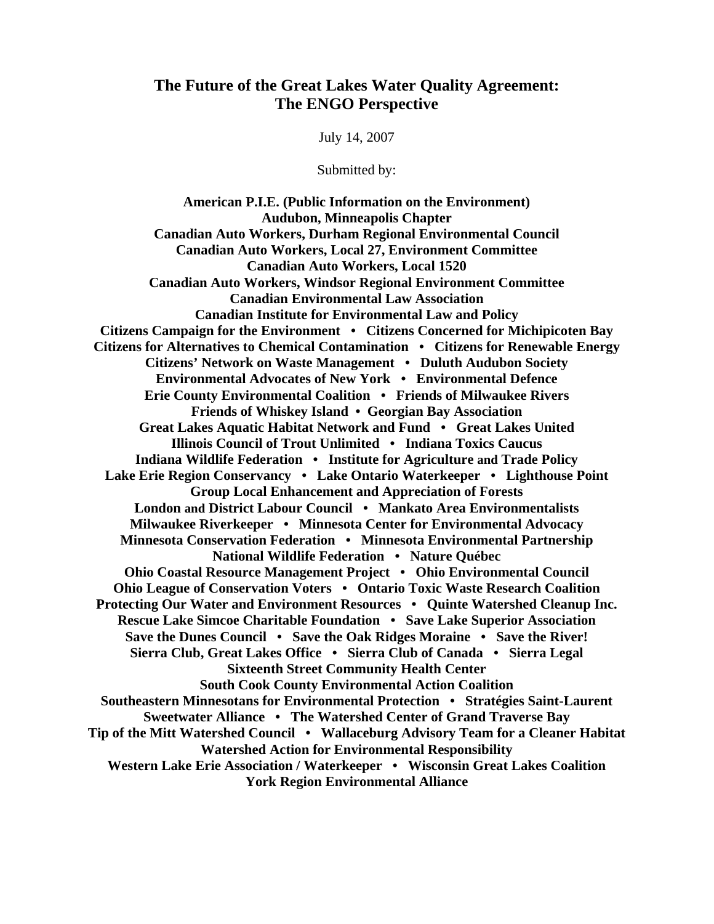# **The Future of the Great Lakes Water Quality Agreement: The ENGO Perspective**

July 14, 2007

Submitted by:

**American P.I.E. (Public Information on the Environment) Audubon, Minneapolis Chapter Canadian Auto Workers, Durham Regional Environmental Council Canadian Auto Workers, Local 27, Environment Committee Canadian Auto Workers, Local 1520 Canadian Auto Workers, Windsor Regional Environment Committee Canadian Environmental Law Association Canadian Institute for Environmental Law and Policy Citizens Campaign for the Environment • Citizens Concerned for Michipicoten Bay Citizens for Alternatives to Chemical Contamination • Citizens for Renewable Energy Citizens' Network on Waste Management • Duluth Audubon Society Environmental Advocates of New York • Environmental Defence Erie County Environmental Coalition • Friends of Milwaukee Rivers Friends of Whiskey Island • Georgian Bay Association Great Lakes Aquatic Habitat Network and Fund • Great Lakes United Illinois Council of Trout Unlimited • Indiana Toxics Caucus Indiana Wildlife Federation • Institute for Agriculture and Trade Policy Lake Erie Region Conservancy • Lake Ontario Waterkeeper • Lighthouse Point Group Local Enhancement and Appreciation of Forests London and District Labour Council • Mankato Area Environmentalists Milwaukee Riverkeeper • Minnesota Center for Environmental Advocacy Minnesota Conservation Federation • Minnesota Environmental Partnership National Wildlife Federation • Nature Québec Ohio Coastal Resource Management Project • Ohio Environmental Council Ohio League of Conservation Voters • Ontario Toxic Waste Research Coalition Protecting Our Water and Environment Resources • Quinte Watershed Cleanup Inc. Rescue Lake Simcoe Charitable Foundation • Save Lake Superior Association Save the Dunes Council • Save the Oak Ridges Moraine • Save the River! Sierra Club, Great Lakes Office • Sierra Club of Canada • Sierra Legal Sixteenth Street Community Health Center South Cook County Environmental Action Coalition Southeastern Minnesotans for Environmental Protection • Stratégies Saint-Laurent Sweetwater Alliance • The Watershed Center of Grand Traverse Bay Tip of the Mitt Watershed Council • Wallaceburg Advisory Team for a Cleaner Habitat Watershed Action for Environmental Responsibility Western Lake Erie Association / Waterkeeper • Wisconsin Great Lakes Coalition York Region Environmental Alliance**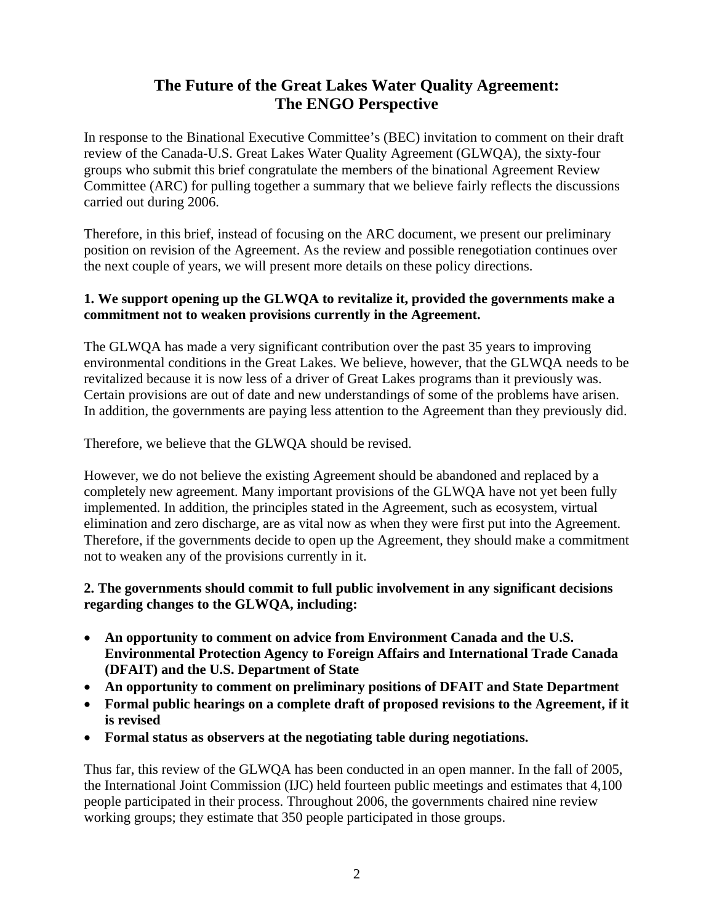# **The Future of the Great Lakes Water Quality Agreement: The ENGO Perspective**

In response to the Binational Executive Committee's (BEC) invitation to comment on their draft review of the Canada-U.S. Great Lakes Water Quality Agreement (GLWQA), the sixty-four groups who submit this brief congratulate the members of the binational Agreement Review Committee (ARC) for pulling together a summary that we believe fairly reflects the discussions carried out during 2006.

Therefore, in this brief, instead of focusing on the ARC document, we present our preliminary position on revision of the Agreement. As the review and possible renegotiation continues over the next couple of years, we will present more details on these policy directions.

#### **1. We support opening up the GLWQA to revitalize it, provided the governments make a commitment not to weaken provisions currently in the Agreement.**

The GLWQA has made a very significant contribution over the past 35 years to improving environmental conditions in the Great Lakes. We believe, however, that the GLWQA needs to be revitalized because it is now less of a driver of Great Lakes programs than it previously was. Certain provisions are out of date and new understandings of some of the problems have arisen. In addition, the governments are paying less attention to the Agreement than they previously did.

Therefore, we believe that the GLWQA should be revised.

However, we do not believe the existing Agreement should be abandoned and replaced by a completely new agreement. Many important provisions of the GLWQA have not yet been fully implemented. In addition, the principles stated in the Agreement, such as ecosystem, virtual elimination and zero discharge, are as vital now as when they were first put into the Agreement. Therefore, if the governments decide to open up the Agreement, they should make a commitment not to weaken any of the provisions currently in it.

## **2. The governments should commit to full public involvement in any significant decisions regarding changes to the GLWQA, including:**

- **An opportunity to comment on advice from Environment Canada and the U.S. Environmental Protection Agency to Foreign Affairs and International Trade Canada (DFAIT) and the U.S. Department of State**
- **An opportunity to comment on preliminary positions of DFAIT and State Department**
- **Formal public hearings on a complete draft of proposed revisions to the Agreement, if it is revised**
- **Formal status as observers at the negotiating table during negotiations.**

Thus far, this review of the GLWQA has been conducted in an open manner. In the fall of 2005, the International Joint Commission (IJC) held fourteen public meetings and estimates that 4,100 people participated in their process. Throughout 2006, the governments chaired nine review working groups; they estimate that 350 people participated in those groups.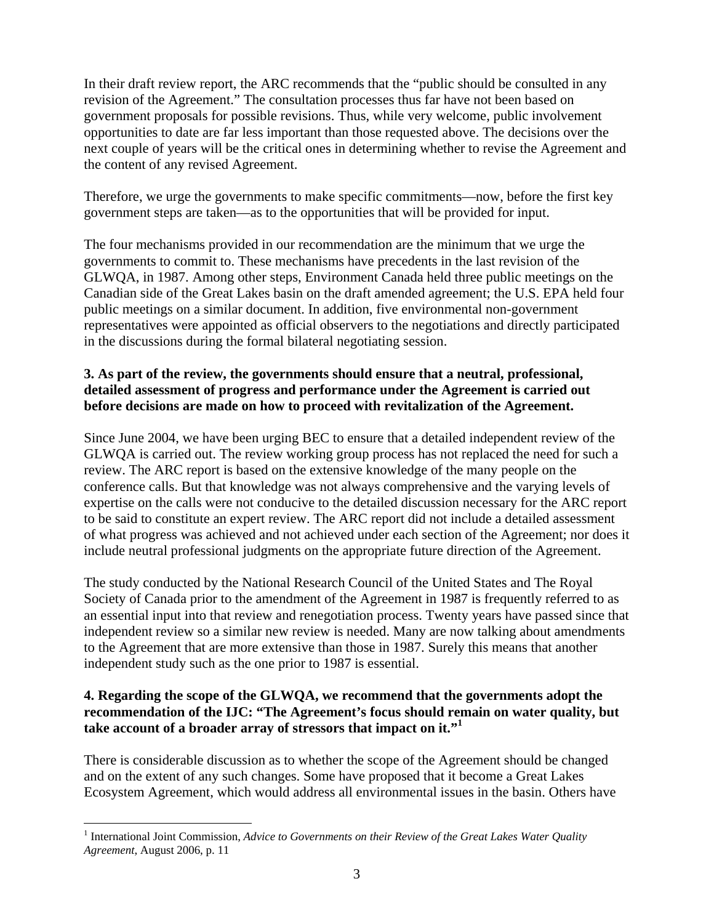In their draft review report, the ARC recommends that the "public should be consulted in any revision of the Agreement." The consultation processes thus far have not been based on government proposals for possible revisions. Thus, while very welcome, public involvement opportunities to date are far less important than those requested above. The decisions over the next couple of years will be the critical ones in determining whether to revise the Agreement and the content of any revised Agreement.

Therefore, we urge the governments to make specific commitments—now, before the first key government steps are taken—as to the opportunities that will be provided for input.

The four mechanisms provided in our recommendation are the minimum that we urge the governments to commit to. These mechanisms have precedents in the last revision of the GLWQA, in 1987. Among other steps, Environment Canada held three public meetings on the Canadian side of the Great Lakes basin on the draft amended agreement; the U.S. EPA held four public meetings on a similar document. In addition, five environmental non-government representatives were appointed as official observers to the negotiations and directly participated in the discussions during the formal bilateral negotiating session.

## **3. As part of the review, the governments should ensure that a neutral, professional, detailed assessment of progress and performance under the Agreement is carried out before decisions are made on how to proceed with revitalization of the Agreement.**

Since June 2004, we have been urging BEC to ensure that a detailed independent review of the GLWQA is carried out. The review working group process has not replaced the need for such a review. The ARC report is based on the extensive knowledge of the many people on the conference calls. But that knowledge was not always comprehensive and the varying levels of expertise on the calls were not conducive to the detailed discussion necessary for the ARC report to be said to constitute an expert review. The ARC report did not include a detailed assessment of what progress was achieved and not achieved under each section of the Agreement; nor does it include neutral professional judgments on the appropriate future direction of the Agreement.

The study conducted by the National Research Council of the United States and The Royal Society of Canada prior to the amendment of the Agreement in 1987 is frequently referred to as an essential input into that review and renegotiation process. Twenty years have passed since that independent review so a similar new review is needed. Many are now talking about amendments to the Agreement that are more extensive than those in 1987. Surely this means that another independent study such as the one prior to 1987 is essential.

#### **4. Regarding the scope of the GLWQA, we recommend that the governments adopt the recommendation of the IJC: "The Agreement's focus should remain on water quality, but take account of a broader array of stressors that impact on it."[1](#page-2-0)**

There is considerable discussion as to whether the scope of the Agreement should be changed and on the extent of any such changes. Some have proposed that it become a Great Lakes Ecosystem Agreement, which would address all environmental issues in the basin. Others have

<u>.</u>

<span id="page-2-0"></span><sup>&</sup>lt;sup>1</sup> International Joint Commission, *Advice to Governments on their Review of the Great Lakes Water Quality Agreement*, August 2006, p. 11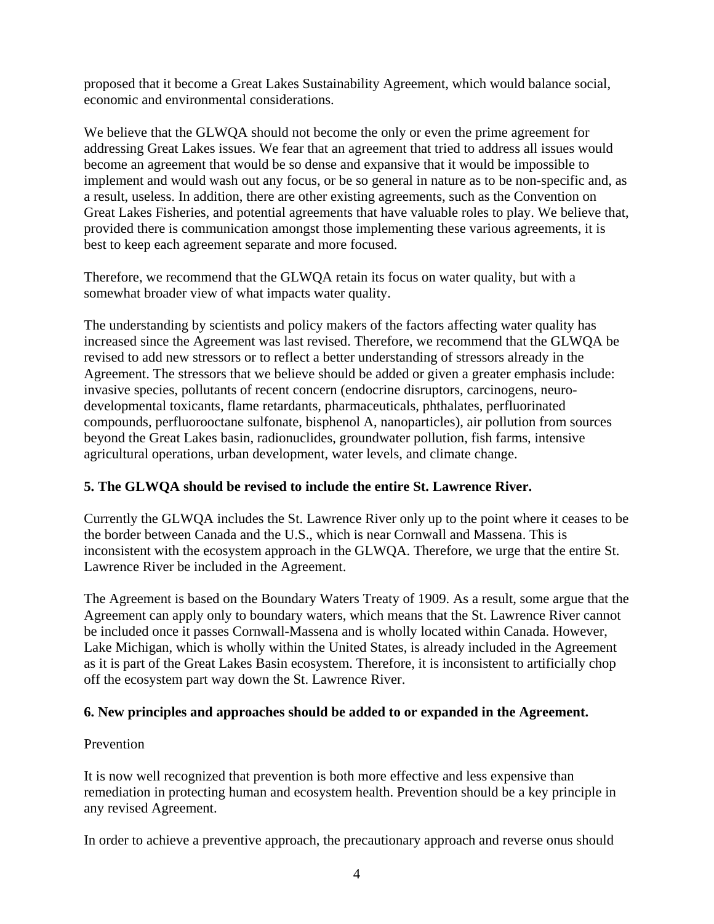proposed that it become a Great Lakes Sustainability Agreement, which would balance social, economic and environmental considerations.

We believe that the GLWQA should not become the only or even the prime agreement for addressing Great Lakes issues. We fear that an agreement that tried to address all issues would become an agreement that would be so dense and expansive that it would be impossible to implement and would wash out any focus, or be so general in nature as to be non-specific and, as a result, useless. In addition, there are other existing agreements, such as the Convention on Great Lakes Fisheries, and potential agreements that have valuable roles to play. We believe that, provided there is communication amongst those implementing these various agreements, it is best to keep each agreement separate and more focused.

Therefore, we recommend that the GLWQA retain its focus on water quality, but with a somewhat broader view of what impacts water quality.

The understanding by scientists and policy makers of the factors affecting water quality has increased since the Agreement was last revised. Therefore, we recommend that the GLWQA be revised to add new stressors or to reflect a better understanding of stressors already in the Agreement. The stressors that we believe should be added or given a greater emphasis include: invasive species, pollutants of recent concern (endocrine disruptors, carcinogens, neurodevelopmental toxicants, flame retardants, pharmaceuticals, phthalates, perfluorinated compounds, perfluorooctane sulfonate, bisphenol A, nanoparticles), air pollution from sources beyond the Great Lakes basin, radionuclides, groundwater pollution, fish farms, intensive agricultural operations, urban development, water levels, and climate change.

## **5. The GLWQA should be revised to include the entire St. Lawrence River.**

Currently the GLWQA includes the St. Lawrence River only up to the point where it ceases to be the border between Canada and the U.S., which is near Cornwall and Massena. This is inconsistent with the ecosystem approach in the GLWQA. Therefore, we urge that the entire St. Lawrence River be included in the Agreement.

The Agreement is based on the Boundary Waters Treaty of 1909. As a result, some argue that the Agreement can apply only to boundary waters, which means that the St. Lawrence River cannot be included once it passes Cornwall-Massena and is wholly located within Canada. However, Lake Michigan, which is wholly within the United States, is already included in the Agreement as it is part of the Great Lakes Basin ecosystem. Therefore, it is inconsistent to artificially chop off the ecosystem part way down the St. Lawrence River.

## **6. New principles and approaches should be added to or expanded in the Agreement.**

## Prevention

It is now well recognized that prevention is both more effective and less expensive than remediation in protecting human and ecosystem health. Prevention should be a key principle in any revised Agreement.

In order to achieve a preventive approach, the precautionary approach and reverse onus should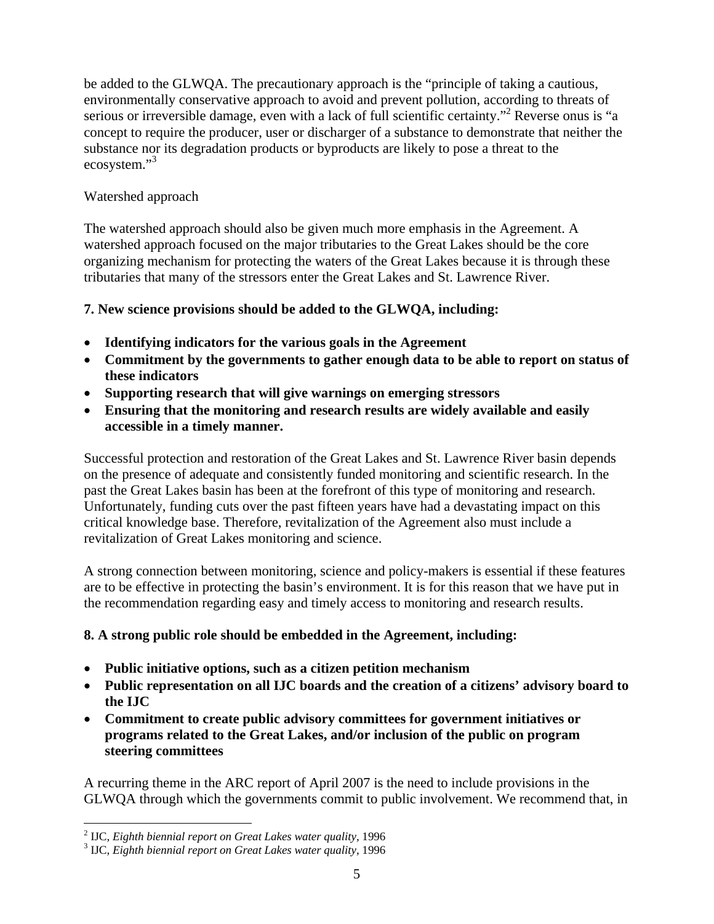be added to the GLWQA. The precautionary approach is the "principle of taking a cautious, environmentally conservative approach to avoid and prevent pollution, according to threats of serious or irreversible damage, even with a lack of full scientific certainty."<sup>2</sup> Reverse onus is "a concept to require the producer, user or discharger of a substance to demonstrate that neither the substance nor its degradation products or byproducts are likely to pose a threat to the ecosystem."<sup>3</sup>

## Watershed approach

The watershed approach should also be given much more emphasis in the Agreement. A watershed approach focused on the major tributaries to the Great Lakes should be the core organizing mechanism for protecting the waters of the Great Lakes because it is through these tributaries that many of the stressors enter the Great Lakes and St. Lawrence River.

## **7. New science provisions should be added to the GLWQA, including:**

- **Identifying indicators for the various goals in the Agreement**
- **Commitment by the governments to gather enough data to be able to report on status of these indicators**
- **Supporting research that will give warnings on emerging stressors**
- **Ensuring that the monitoring and research results are widely available and easily accessible in a timely manner.**

Successful protection and restoration of the Great Lakes and St. Lawrence River basin depends on the presence of adequate and consistently funded monitoring and scientific research. In the past the Great Lakes basin has been at the forefront of this type of monitoring and research. Unfortunately, funding cuts over the past fifteen years have had a devastating impact on this critical knowledge base. Therefore, revitalization of the Agreement also must include a revitalization of Great Lakes monitoring and science.

A strong connection between monitoring, science and policy-makers is essential if these features are to be effective in protecting the basin's environment. It is for this reason that we have put in the recommendation regarding easy and timely access to monitoring and research results.

# **8. A strong public role should be embedded in the Agreement, including:**

- **Public initiative options, such as a citizen petition mechanism**
- **Public representation on all IJC boards and the creation of a citizens' advisory board to the IJC**
- **Commitment to create public advisory committees for government initiatives or programs related to the Great Lakes, and/or inclusion of the public on program steering committees**

A recurring theme in the ARC report of April 2007 is the need to include provisions in the GLWQA through which the governments commit to public involvement. We recommend that, in

<u>.</u>

<span id="page-4-0"></span><sup>2</sup> IJC, *Eighth biennial report on Great Lakes water quality*, 1996 <sup>3</sup>

<span id="page-4-1"></span>IJC, *Eighth biennial report on Great Lakes water quality*, 1996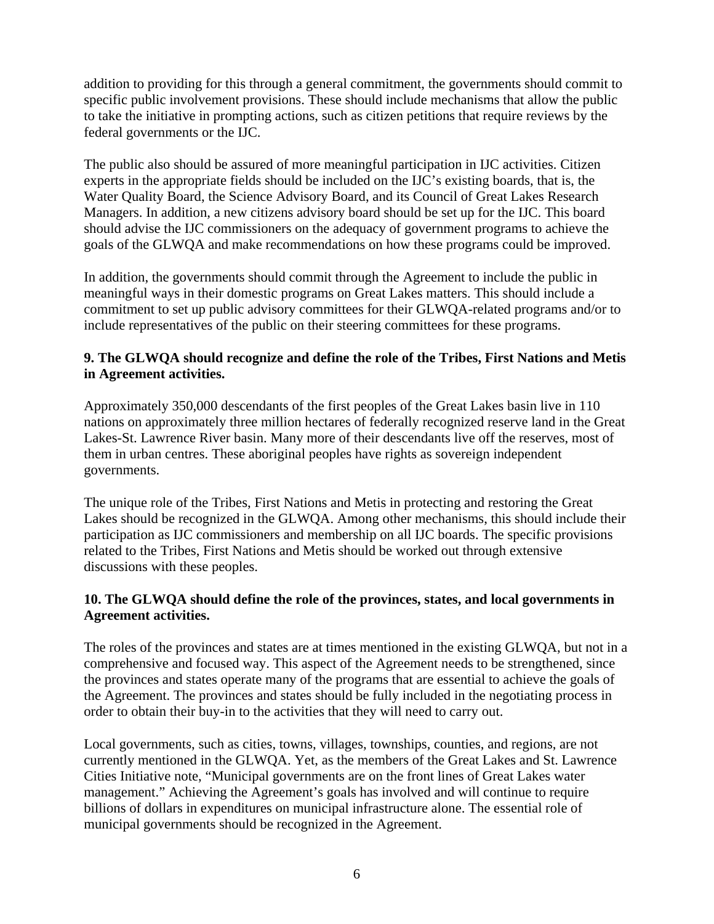addition to providing for this through a general commitment, the governments should commit to specific public involvement provisions. These should include mechanisms that allow the public to take the initiative in prompting actions, such as citizen petitions that require reviews by the federal governments or the IJC.

The public also should be assured of more meaningful participation in IJC activities. Citizen experts in the appropriate fields should be included on the IJC's existing boards, that is, the Water Quality Board, the Science Advisory Board, and its Council of Great Lakes Research Managers. In addition, a new citizens advisory board should be set up for the IJC. This board should advise the IJC commissioners on the adequacy of government programs to achieve the goals of the GLWQA and make recommendations on how these programs could be improved.

In addition, the governments should commit through the Agreement to include the public in meaningful ways in their domestic programs on Great Lakes matters. This should include a commitment to set up public advisory committees for their GLWQA-related programs and/or to include representatives of the public on their steering committees for these programs.

## **9. The GLWQA should recognize and define the role of the Tribes, First Nations and Metis in Agreement activities.**

Approximately 350,000 descendants of the first peoples of the Great Lakes basin live in 110 nations on approximately three million hectares of federally recognized reserve land in the Great Lakes-St. Lawrence River basin. Many more of their descendants live off the reserves, most of them in urban centres. These aboriginal peoples have rights as sovereign independent governments.

The unique role of the Tribes, First Nations and Metis in protecting and restoring the Great Lakes should be recognized in the GLWQA. Among other mechanisms, this should include their participation as IJC commissioners and membership on all IJC boards. The specific provisions related to the Tribes, First Nations and Metis should be worked out through extensive discussions with these peoples.

## **10. The GLWQA should define the role of the provinces, states, and local governments in Agreement activities.**

The roles of the provinces and states are at times mentioned in the existing GLWQA, but not in a comprehensive and focused way. This aspect of the Agreement needs to be strengthened, since the provinces and states operate many of the programs that are essential to achieve the goals of the Agreement. The provinces and states should be fully included in the negotiating process in order to obtain their buy-in to the activities that they will need to carry out.

Local governments, such as cities, towns, villages, townships, counties, and regions, are not currently mentioned in the GLWQA. Yet, as the members of the Great Lakes and St. Lawrence Cities Initiative note, "Municipal governments are on the front lines of Great Lakes water management." Achieving the Agreement's goals has involved and will continue to require billions of dollars in expenditures on municipal infrastructure alone. The essential role of municipal governments should be recognized in the Agreement.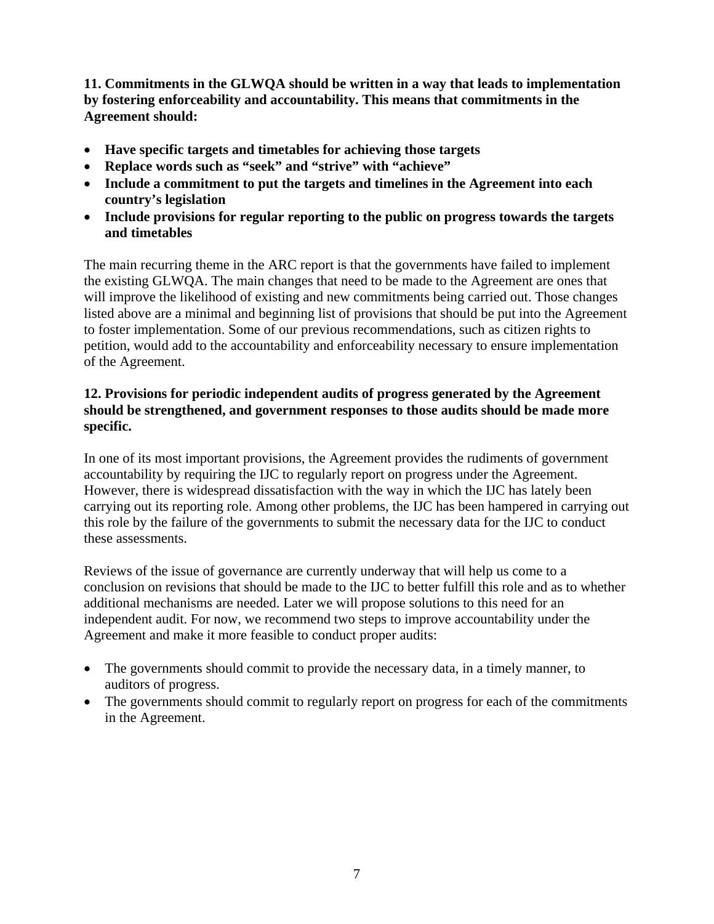**11. Commitments in the GLWQA should be written in a way that leads to implementation by fostering enforceability and accountability. This means that commitments in the Agreement should:** 

- **Have specific targets and timetables for achieving those targets**
- **Replace words such as "seek" and "strive" with "achieve"**
- **Include a commitment to put the targets and timelines in the Agreement into each country's legislation**
- **Include provisions for regular reporting to the public on progress towards the targets and timetables**

The main recurring theme in the ARC report is that the governments have failed to implement the existing GLWQA. The main changes that need to be made to the Agreement are ones that will improve the likelihood of existing and new commitments being carried out. Those changes listed above are a minimal and beginning list of provisions that should be put into the Agreement to foster implementation. Some of our previous recommendations, such as citizen rights to petition, would add to the accountability and enforceability necessary to ensure implementation of the Agreement.

## **12. Provisions for periodic independent audits of progress generated by the Agreement should be strengthened, and government responses to those audits should be made more specific.**

In one of its most important provisions, the Agreement provides the rudiments of government accountability by requiring the IJC to regularly report on progress under the Agreement. However, there is widespread dissatisfaction with the way in which the IJC has lately been carrying out its reporting role. Among other problems, the IJC has been hampered in carrying out this role by the failure of the governments to submit the necessary data for the IJC to conduct these assessments.

Reviews of the issue of governance are currently underway that will help us come to a conclusion on revisions that should be made to the IJC to better fulfill this role and as to whether additional mechanisms are needed. Later we will propose solutions to this need for an independent audit. For now, we recommend two steps to improve accountability under the Agreement and make it more feasible to conduct proper audits:

- The governments should commit to provide the necessary data, in a timely manner, to auditors of progress.
- The governments should commit to regularly report on progress for each of the commitments in the Agreement.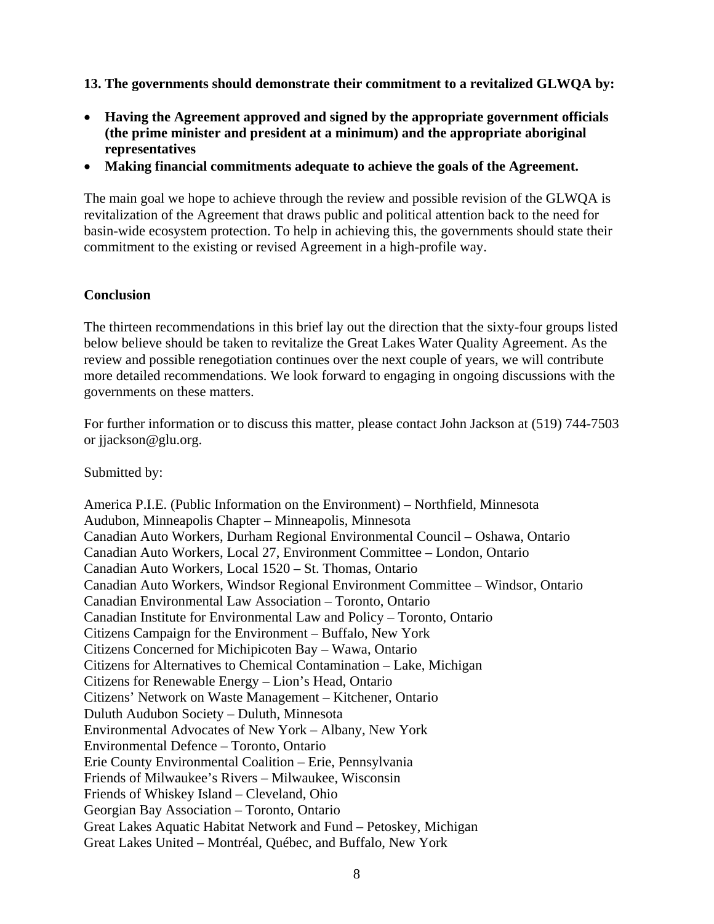**13. The governments should demonstrate their commitment to a revitalized GLWQA by:** 

- **Having the Agreement approved and signed by the appropriate government officials (the prime minister and president at a minimum) and the appropriate aboriginal representatives**
- **Making financial commitments adequate to achieve the goals of the Agreement.**

The main goal we hope to achieve through the review and possible revision of the GLWQA is revitalization of the Agreement that draws public and political attention back to the need for basin-wide ecosystem protection. To help in achieving this, the governments should state their commitment to the existing or revised Agreement in a high-profile way.

#### **Conclusion**

The thirteen recommendations in this brief lay out the direction that the sixty-four groups listed below believe should be taken to revitalize the Great Lakes Water Quality Agreement. As the review and possible renegotiation continues over the next couple of years, we will contribute more detailed recommendations. We look forward to engaging in ongoing discussions with the governments on these matters.

For further information or to discuss this matter, please contact John Jackson at (519) 744-7503 or jjackson@glu.org.

Submitted by:

America P.I.E. (Public Information on the Environment) – Northfield, Minnesota Audubon, Minneapolis Chapter – Minneapolis, Minnesota Canadian Auto Workers, Durham Regional Environmental Council – Oshawa, Ontario Canadian Auto Workers, Local 27, Environment Committee – London, Ontario Canadian Auto Workers, Local 1520 – St. Thomas, Ontario Canadian Auto Workers, Windsor Regional Environment Committee – Windsor, Ontario Canadian Environmental Law Association – Toronto, Ontario Canadian Institute for Environmental Law and Policy – Toronto, Ontario Citizens Campaign for the Environment – Buffalo, New York Citizens Concerned for Michipicoten Bay – Wawa, Ontario Citizens for Alternatives to Chemical Contamination – Lake, Michigan Citizens for Renewable Energy – Lion's Head, Ontario Citizens' Network on Waste Management – Kitchener, Ontario Duluth Audubon Society – Duluth, Minnesota Environmental Advocates of New York – Albany, New York Environmental Defence – Toronto, Ontario Erie County Environmental Coalition – Erie, Pennsylvania Friends of Milwaukee's Rivers – Milwaukee, Wisconsin Friends of Whiskey Island – Cleveland, Ohio Georgian Bay Association – Toronto, Ontario Great Lakes Aquatic Habitat Network and Fund – Petoskey, Michigan Great Lakes United – Montréal, Québec, and Buffalo, New York